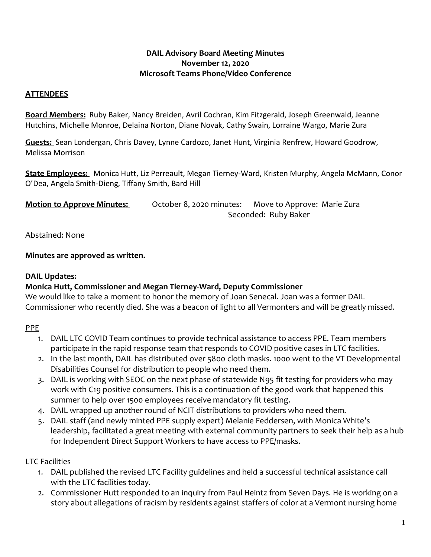#### **DAIL Advisory Board Meeting Minutes November 12, 2020 Microsoft Teams Phone/Video Conference**

### **ATTENDEES**

**Board Members:** Ruby Baker, Nancy Breiden, Avril Cochran, Kim Fitzgerald, Joseph Greenwald, Jeanne Hutchins, Michelle Monroe, Delaina Norton, Diane Novak, Cathy Swain, Lorraine Wargo, Marie Zura

**Guests:** Sean Londergan, Chris Davey, Lynne Cardozo, Janet Hunt, Virginia Renfrew, Howard Goodrow, Melissa Morrison

**State Employees:** Monica Hutt, Liz Perreault, Megan Tierney-Ward, Kristen Murphy, Angela McMann, Conor O'Dea, Angela Smith-Dieng, Tiffany Smith, Bard Hill

| <b>Motion to Approve Minutes:</b> | October 8, 2020 minutes: | Move to Approve: Marie Zura |
|-----------------------------------|--------------------------|-----------------------------|
|                                   | Seconded: Ruby Baker     |                             |

Abstained: None

**Minutes are approved as written.** 

## **DAIL Updates:**

### **Monica Hutt, Commissioner and Megan Tierney-Ward, Deputy Commissioner**

We would like to take a moment to honor the memory of Joan Senecal. Joan was a former DAIL Commissioner who recently died. She was a beacon of light to all Vermonters and will be greatly missed.

# PPE

- 1. DAIL LTC COVID Team continues to provide technical assistance to access PPE. Team members participate in the rapid response team that responds to COVID positive cases in LTC facilities.
- 2. In the last month, DAIL has distributed over 5800 cloth masks. 1000 went to the VT Developmental Disabilities Counsel for distribution to people who need them.
- 3. DAIL is working with SEOC on the next phase of statewide N95 fit testing for providers who may work with C19 positive consumers. This is a continuation of the good work that happened this summer to help over 1500 employees receive mandatory fit testing.
- 4. DAIL wrapped up another round of NCIT distributions to providers who need them.
- 5. DAIL staff (and newly minted PPE supply expert) Melanie Feddersen, with Monica White's leadership, facilitated a great meeting with external community partners to seek their help as a hub for Independent Direct Support Workers to have access to PPE/masks.

# LTC Facilities

- 1. DAIL published the revised LTC Facility guidelines and held a successful technical assistance call with the LTC facilities today.
- 2. Commissioner Hutt responded to an inquiry from Paul Heintz from Seven Days. He is working on a story about allegations of racism by residents against staffers of color at a Vermont nursing home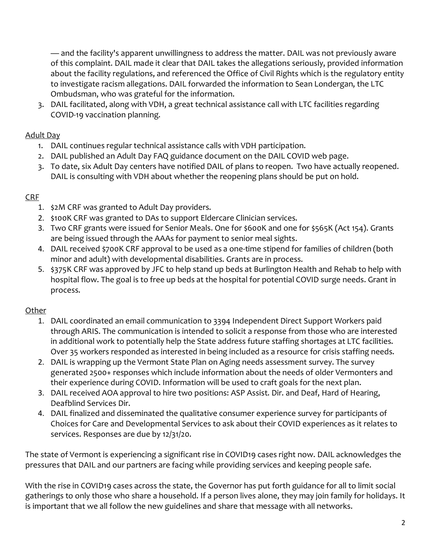— and the facility's apparent unwillingness to address the matter. DAIL was not previously aware of this complaint. DAIL made it clear that DAIL takes the allegations seriously, provided information about the facility regulations, and referenced the Office of Civil Rights which is the regulatory entity to investigate racism allegations. DAIL forwarded the information to Sean Londergan, the LTC Ombudsman, who was grateful for the information.

3. DAIL facilitated, along with VDH, a great technical assistance call with LTC facilities regarding COVID-19 vaccination planning.

### Adult Day

- 1. DAIL continues regular technical assistance calls with VDH participation.
- 2. DAIL published an Adult Day FAQ guidance document on the DAIL COVID web page.
- 3. To date, six Adult Day centers have notified DAIL of plans to reopen. Two have actually reopened. DAIL is consulting with VDH about whether the reopening plans should be put on hold.

# CRF

- 1. \$2M CRF was granted to Adult Day providers.
- 2. \$100K CRF was granted to DAs to support Eldercare Clinician services.
- 3. Two CRF grants were issued for Senior Meals. One for \$600K and one for \$565K (Act 154). Grants are being issued through the AAAs for payment to senior meal sights.
- 4. DAIL received \$700K CRF approval to be used as a one-time stipend for families of children (both minor and adult) with developmental disabilities. Grants are in process.
- 5. \$375K CRF was approved by JFC to help stand up beds at Burlington Health and Rehab to help with hospital flow. The goal is to free up beds at the hospital for potential COVID surge needs. Grant in process.

# **Other**

- 1. DAIL coordinated an email communication to 3394 Independent Direct Support Workers paid through ARIS. The communication is intended to solicit a response from those who are interested in additional work to potentially help the State address future staffing shortages at LTC facilities. Over 35 workers responded as interested in being included as a resource for crisis staffing needs.
- 2. DAIL is wrapping up the Vermont State Plan on Aging needs assessment survey. The survey generated 2500+ responses which include information about the needs of older Vermonters and their experience during COVID. Information will be used to craft goals for the next plan.
- 3. DAIL received AOA approval to hire two positions: ASP Assist. Dir. and Deaf, Hard of Hearing, Deafblind Services Dir.
- 4. DAIL finalized and disseminated the qualitative consumer experience survey for participants of Choices for Care and Developmental Services to ask about their COVID experiences as it relates to services. Responses are due by 12/31/20.

The state of Vermont is experiencing a significant rise in COVID19 cases right now. DAIL acknowledges the pressures that DAIL and our partners are facing while providing services and keeping people safe.

With the rise in COVID19 cases across the state, the Governor has put forth guidance for all to limit social gatherings to only those who share a household. If a person lives alone, they may join family for holidays. It is important that we all follow the new guidelines and share that message with all networks.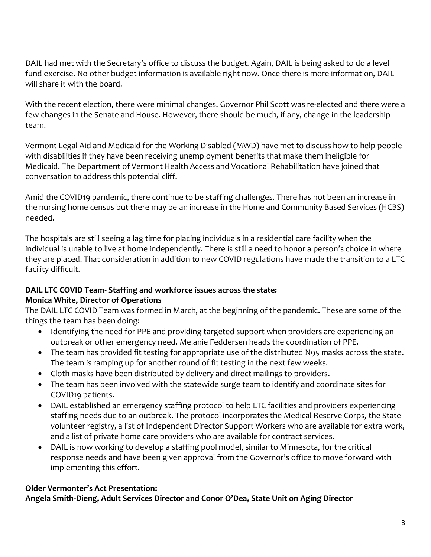DAIL had met with the Secretary's office to discuss the budget. Again, DAIL is being asked to do a level fund exercise. No other budget information is available right now. Once there is more information, DAIL will share it with the board.

With the recent election, there were minimal changes. Governor Phil Scott was re-elected and there were a few changes in the Senate and House. However, there should be much, if any, change in the leadership team.

Vermont Legal Aid and Medicaid for the Working Disabled (MWD) have met to discuss how to help people with disabilities if they have been receiving unemployment benefits that make them ineligible for Medicaid. The Department of Vermont Health Access and Vocational Rehabilitation have joined that conversation to address this potential cliff.

Amid the COVID19 pandemic, there continue to be staffing challenges. There has not been an increase in the nursing home census but there may be an increase in the Home and Community Based Services (HCBS) needed.

The hospitals are still seeing a lag time for placing individuals in a residential care facility when the individual is unable to live at home independently. There is still a need to honor a person's choice in where they are placed. That consideration in addition to new COVID regulations have made the transition to a LTC facility difficult.

# **DAIL LTC COVID Team- Staffing and workforce issues across the state:**

# **Monica White, Director of Operations**

The DAIL LTC COVID Team was formed in March, at the beginning of the pandemic. These are some of the things the team has been doing:

- Identifying the need for PPE and providing targeted support when providers are experiencing an outbreak or other emergency need. Melanie Feddersen heads the coordination of PPE.
- The team has provided fit testing for appropriate use of the distributed N95 masks across the state. The team is ramping up for another round of fit testing in the next few weeks.
- Cloth masks have been distributed by delivery and direct mailings to providers.
- The team has been involved with the statewide surge team to identify and coordinate sites for COVID19 patients.
- DAIL established an emergency staffing protocol to help LTC facilities and providers experiencing staffing needs due to an outbreak. The protocol incorporates the Medical Reserve Corps, the State volunteer registry, a list of Independent Director Support Workers who are available for extra work, and a list of private home care providers who are available for contract services.
- DAIL is now working to develop a staffing pool model, similar to Minnesota, for the critical response needs and have been given approval from the Governor's office to move forward with implementing this effort.

# **Older Vermonter's Act Presentation:**

**Angela Smith-Dieng, Adult Services Director and Conor O'Dea, State Unit on Aging Director**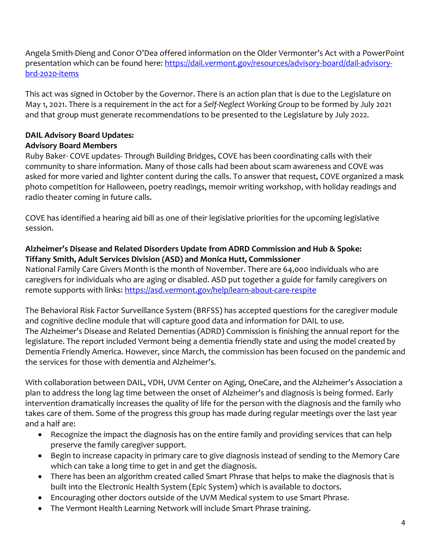Angela Smith-Dieng and Conor O'Dea offered information on the Older Vermonter's Act with a PowerPoint presentation which can be found here: [https://dail.vermont.gov/resources/advisory-board/dail-advisory](https://dail.vermont.gov/resources/advisory-board/dail-advisory-brd-2020-items)[brd-2020-items](https://dail.vermont.gov/resources/advisory-board/dail-advisory-brd-2020-items)

This act was signed in October by the Governor. There is an action plan that is due to the Legislature on May 1, 2021. There is a requirement in the act for a *Self-Neglect Working Group* to be formed by July 2021 and that group must generate recommendations to be presented to the Legislature by July 2022.

#### **DAIL Advisory Board Updates: Advisory Board Members**

Ruby Baker- COVE updates- Through Building Bridges, COVE has been coordinating calls with their community to share information. Many of those calls had been about scam awareness and COVE was asked for more varied and lighter content during the calls. To answer that request, COVE organized a mask photo competition for Halloween, poetry readings, memoir writing workshop, with holiday readings and radio theater coming in future calls.

COVE has identified a hearing aid bill as one of their legislative priorities for the upcoming legislative session.

#### **Alzheimer's Disease and Related Disorders Update from ADRD Commission and Hub & Spoke: Tiffany Smith, Adult Services Division (ASD) and Monica Hutt, Commissioner**

National Family Care Givers Month is the month of November. There are 64,000 individuals who are caregivers for individuals who are aging or disabled. ASD put together a guide for family caregivers on remote supports with links:<https://asd.vermont.gov/help/learn-about-care-respite>

The Behavioral Risk Factor Surveillance System (BRFSS) has accepted questions for the caregiver module and cognitive decline module that will capture good data and information for DAIL to use. The Alzheimer's Disease and Related Dementias (ADRD) Commission is finishing the annual report for the legislature. The report included Vermont being a dementia friendly state and using the model created by Dementia Friendly America. However, since March, the commission has been focused on the pandemic and the services for those with dementia and Alzheimer's.

With collaboration between DAIL, VDH, UVM Center on Aging, OneCare, and the Alzheimer's Association a plan to address the long lag time between the onset of Alzheimer's and diagnosis is being formed. Early intervention dramatically increases the quality of life for the person with the diagnosis and the family who takes care of them. Some of the progress this group has made during regular meetings over the last year and a half are:

- Recognize the impact the diagnosis has on the entire family and providing services that can help preserve the family caregiver support.
- Begin to increase capacity in primary care to give diagnosis instead of sending to the Memory Care which can take a long time to get in and get the diagnosis.
- There has been an algorithm created called Smart Phrase that helps to make the diagnosis that is built into the Electronic Health System (Epic System) which is available to doctors.
- Encouraging other doctors outside of the UVM Medical system to use Smart Phrase.
- The Vermont Health Learning Network will include Smart Phrase training.